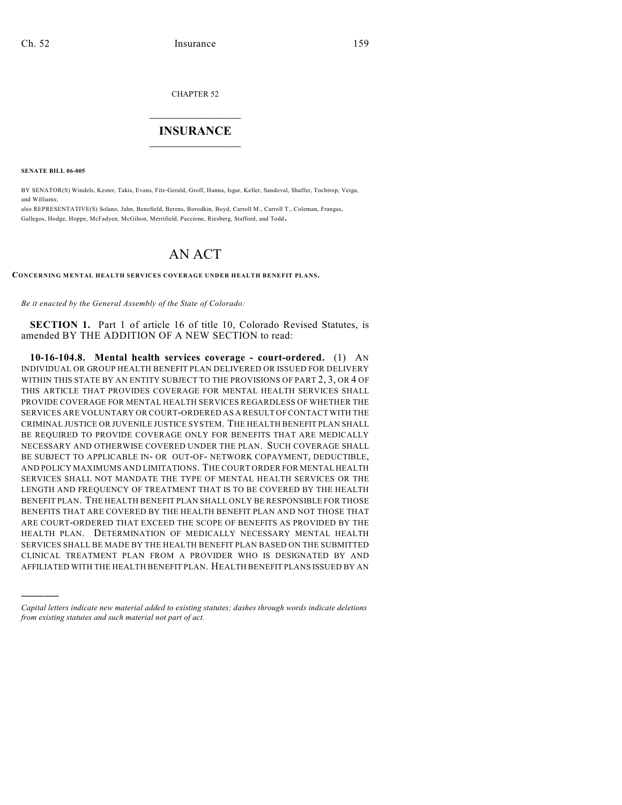CHAPTER 52

## $\overline{\phantom{a}}$  . The set of the set of the set of the set of the set of the set of the set of the set of the set of the set of the set of the set of the set of the set of the set of the set of the set of the set of the set o **INSURANCE**  $\frac{1}{2}$  ,  $\frac{1}{2}$  ,  $\frac{1}{2}$  ,  $\frac{1}{2}$  ,  $\frac{1}{2}$  ,  $\frac{1}{2}$  ,  $\frac{1}{2}$

**SENATE BILL 06-005**

)))))

BY SENATOR(S) Windels, Kester, Takis, Evans, Fitz-Gerald, Groff, Hanna, Isgar, Keller, Sandoval, Shaffer, Tochtrop, Veiga, and Williams;

also REPRESENTATIVE(S) Solano, Jahn, Benefield, Berens, Borodkin, Boyd, Carroll M., Carroll T., Coleman, Frangas, Gallegos, Hodge, Hoppe, McFadyen, McGihon, Merrifield, Paccione, Riesberg, Stafford, and Todd.

## AN ACT

## **CONCERNING MENTAL HEALTH SERVICES COVERAGE UNDER HEALTH BENEFIT PLANS.**

*Be it enacted by the General Assembly of the State of Colorado:*

**SECTION 1.** Part 1 of article 16 of title 10, Colorado Revised Statutes, is amended BY THE ADDITION OF A NEW SECTION to read:

**10-16-104.8. Mental health services coverage - court-ordered.** (1) AN INDIVIDUAL OR GROUP HEALTH BENEFIT PLAN DELIVERED OR ISSUED FOR DELIVERY WITHIN THIS STATE BY AN ENTITY SUBJECT TO THE PROVISIONS OF PART 2, 3, OR 4 OF THIS ARTICLE THAT PROVIDES COVERAGE FOR MENTAL HEALTH SERVICES SHALL PROVIDE COVERAGE FOR MENTAL HEALTH SERVICES REGARDLESS OF WHETHER THE SERVICES ARE VOLUNTARY OR COURT-ORDERED AS A RESULT OF CONTACT WITH THE CRIMINAL JUSTICE OR JUVENILE JUSTICE SYSTEM. THE HEALTH BENEFIT PLAN SHALL BE REQUIRED TO PROVIDE COVERAGE ONLY FOR BENEFITS THAT ARE MEDICALLY NECESSARY AND OTHERWISE COVERED UNDER THE PLAN. SUCH COVERAGE SHALL BE SUBJECT TO APPLICABLE IN- OR OUT-OF- NETWORK COPAYMENT, DEDUCTIBLE, AND POLICY MAXIMUMS AND LIMITATIONS. THE COURT ORDER FOR MENTAL HEALTH SERVICES SHALL NOT MANDATE THE TYPE OF MENTAL HEALTH SERVICES OR THE LENGTH AND FREQUENCY OF TREATMENT THAT IS TO BE COVERED BY THE HEALTH BENEFIT PLAN. THE HEALTH BENEFIT PLAN SHALL ONLY BE RESPONSIBLE FOR THOSE BENEFITS THAT ARE COVERED BY THE HEALTH BENEFIT PLAN AND NOT THOSE THAT ARE COURT-ORDERED THAT EXCEED THE SCOPE OF BENEFITS AS PROVIDED BY THE HEALTH PLAN. DETERMINATION OF MEDICALLY NECESSARY MENTAL HEALTH SERVICES SHALL BE MADE BY THE HEALTH BENEFIT PLAN BASED ON THE SUBMITTED CLINICAL TREATMENT PLAN FROM A PROVIDER WHO IS DESIGNATED BY AND AFFILIATED WITH THE HEALTH BENEFIT PLAN. HEALTH BENEFIT PLANS ISSUED BY AN

*Capital letters indicate new material added to existing statutes; dashes through words indicate deletions from existing statutes and such material not part of act.*